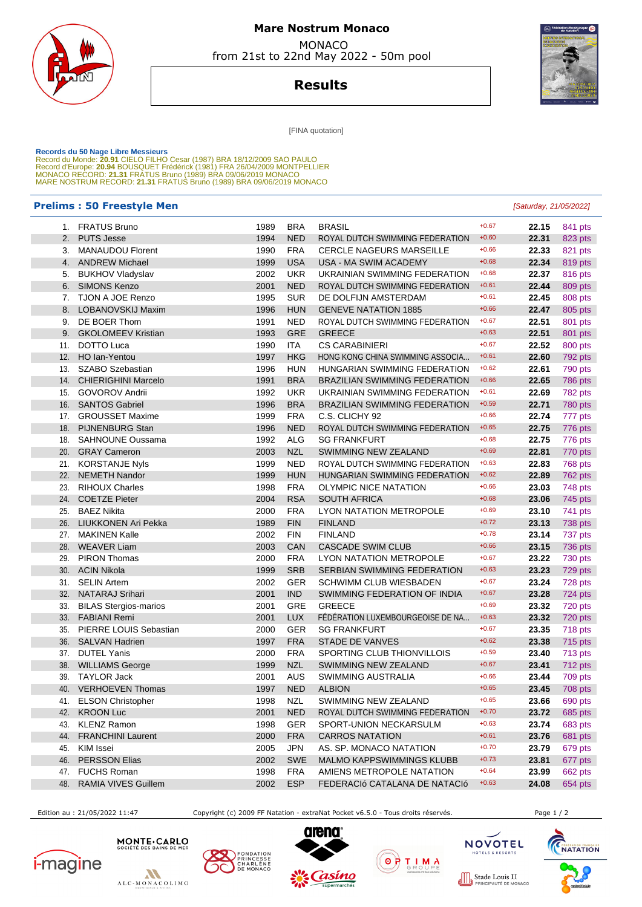

# **Mare Nostrum Monaco**  MONACO

from 21st to 22nd May 2022 - 50m pool

**Results**



[FINA quotation]

Records du 50 Nage Libre Messieurs<br>Record du Monde: 20.91 CIELO FILHO Cesar (1987) BRA 18/12/2009 SAO PAULO<br>Record d'Europe: 20.94 BOUSQUET Frédérick (1981) FRA 26/04/2009 MONTPELLIER<br>Record d'Europe: 20.94 BOUSQUET Frédér

### **Prelims : 50 Freestyle Men** [Saturday, 21/05/2022]

|            | 1. FRATUS Bruno                               | 1989         | <b>BRA</b>               | <b>BRASIL</b>                                                 | $+0.67$            | 22.15          | 841 pts            |
|------------|-----------------------------------------------|--------------|--------------------------|---------------------------------------------------------------|--------------------|----------------|--------------------|
| 2.         | <b>PUTS Jesse</b>                             | 1994         | <b>NED</b>               | ROYAL DUTCH SWIMMING FEDERATION                               | $+0.60$            | 22.31          | 823 pts            |
| 3.         | <b>MANAUDOU Florent</b>                       | 1990         | <b>FRA</b>               | <b>CERCLE NAGEURS MARSEILLE</b>                               | $+0.66$            | 22.33          | 821 pts            |
| 4.         | <b>ANDREW Michael</b>                         | 1999         | <b>USA</b>               | USA - MA SWIM ACADEMY                                         | $+0.68$            | 22.34          | 819 pts            |
| 5.         | <b>BUKHOV Vladyslav</b>                       | 2002         | <b>UKR</b>               | UKRAINIAN SWIMMING FEDERATION                                 | $+0.68$            | 22.37          | 816 pts            |
| 6.         | <b>SIMONS Kenzo</b>                           | 2001         | <b>NED</b>               | ROYAL DUTCH SWIMMING FEDERATION                               | $+0.61$            | 22.44          | 809 pts            |
| 7.         | TJON A JOE Renzo                              | 1995         | <b>SUR</b>               | DE DOLFIJN AMSTERDAM                                          | $+0.61$            | 22.45          | 808 pts            |
| 8.         | LOBANOVSKIJ Maxim                             | 1996         | <b>HUN</b>               | <b>GENEVE NATATION 1885</b>                                   | $+0.66$            | 22.47          | 805 pts            |
| 9.         | DE BOER Thom                                  | 1991         | <b>NED</b>               | ROYAL DUTCH SWIMMING FEDERATION                               | $+0.67$            | 22.51          | 801 pts            |
| 9.         | <b>GKOLOMEEV Kristian</b>                     | 1993         | <b>GRE</b>               | <b>GREECE</b>                                                 | $+0.63$            | 22.51          | 801 pts            |
| 11.        | <b>DOTTO Luca</b>                             | 1990         | ITA                      | <b>CS CARABINIERI</b>                                         | $+0.67$            | 22.52          | 800 pts            |
| 12.        | HO Ian-Yentou                                 | 1997         | <b>HKG</b>               | HONG KONG CHINA SWIMMING ASSOCIA                              | $+0.61$            | 22.60          | 792 pts            |
| 13.        | SZABO Szebastian                              | 1996         | <b>HUN</b>               | HUNGARIAN SWIMMING FEDERATION                                 | $+0.62$            | 22.61          | 790 pts            |
| 14.        | <b>CHIERIGHINI Marcelo</b>                    | 1991         | <b>BRA</b>               | <b>BRAZILIAN SWIMMING FEDERATION</b>                          | $+0.66$            | 22.65          | 786 pts            |
| 15.        | <b>GOVOROV Andrii</b>                         | 1992         | <b>UKR</b>               | UKRAINIAN SWIMMING FEDERATION                                 | $+0.61$            | 22.69          | 782 pts            |
| 16.        | <b>SANTOS Gabriel</b>                         | 1996         | <b>BRA</b>               | <b>BRAZILIAN SWIMMING FEDERATION</b>                          | $+0.59$            | 22.71          | 780 pts            |
| 17.        | <b>GROUSSET Maxime</b>                        | 1999         | <b>FRA</b>               | C.S. CLICHY 92                                                | $+0.66$            | 22.74          | 777 pts            |
| 18.        | <b>PIJNENBURG Stan</b>                        | 1996         | <b>NED</b>               | ROYAL DUTCH SWIMMING FEDERATION                               | $+0.65$<br>$+0.68$ | 22.75          | 776 pts            |
| 18.        | <b>SAHNOUNE Oussama</b>                       | 1992         | <b>ALG</b>               | <b>SG FRANKFURT</b>                                           | $+0.69$            | 22.75          | 776 pts            |
| 20.        | <b>GRAY Cameron</b>                           | 2003         | <b>NZL</b><br><b>NED</b> | SWIMMING NEW ZEALAND                                          | $+0.63$            | 22.81<br>22.83 | 770 pts            |
| 21.        | <b>KORSTANJE Nyls</b><br><b>NEMETH Nandor</b> | 1999         | <b>HUN</b>               | ROYAL DUTCH SWIMMING FEDERATION                               | $+0.62$            |                | 768 pts            |
| 22.<br>23. | <b>RIHOUX Charles</b>                         | 1999<br>1998 | <b>FRA</b>               | HUNGARIAN SWIMMING FEDERATION<br><b>OLYMPIC NICE NATATION</b> | $+0.66$            | 22.89<br>23.03 | 762 pts            |
| 24.        | <b>COETZE Pieter</b>                          | 2004         | <b>RSA</b>               | <b>SOUTH AFRICA</b>                                           | $+0.68$            | 23.06          | 748 pts<br>745 pts |
| 25.        | <b>BAEZ Nikita</b>                            | 2000         | <b>FRA</b>               | LYON NATATION METROPOLE                                       | $+0.69$            | 23.10          | 741 pts            |
| 26.        | <b>LIUKKONEN Ari Pekka</b>                    | 1989         | <b>FIN</b>               | <b>FINLAND</b>                                                | $+0.72$            | 23.13          | 738 pts            |
| 27.        | <b>MAKINEN Kalle</b>                          | 2002         | <b>FIN</b>               | <b>FINLAND</b>                                                | $+0.78$            | 23.14          | 737 pts            |
| 28.        | <b>WEAVER Liam</b>                            | 2003         | CAN                      | <b>CASCADE SWIM CLUB</b>                                      | $+0.66$            | 23.15          | 736 pts            |
| 29.        | <b>PIRON Thomas</b>                           | 2000         | <b>FRA</b>               | LYON NATATION METROPOLE                                       | $+0.67$            | 23.22          | 730 pts            |
| 30.        | <b>ACIN Nikola</b>                            | 1999         | <b>SRB</b>               | SERBIAN SWIMMING FEDERATION                                   | $+0.63$            | 23.23          | 729 pts            |
| 31.        | <b>SELIN Artem</b>                            | 2002         | <b>GER</b>               | <b>SCHWIMM CLUB WIESBADEN</b>                                 | $+0.67$            | 23.24          | 728 pts            |
| 32.        | <b>NATARAJ Srihari</b>                        | 2001         | <b>IND</b>               | SWIMMING FEDERATION OF INDIA                                  | $+0.67$            | 23.28          | 724 pts            |
| 33.        | <b>BILAS Stergios-marios</b>                  | 2001         | <b>GRE</b>               | <b>GREECE</b>                                                 | $+0.69$            | 23.32          | 720 pts            |
| 33.        | <b>FABIANI Remi</b>                           | 2001         | <b>LUX</b>               | FÉDÉRATION LUXEMBOURGEOISE DE NA                              | $+0.63$            | 23.32          | 720 pts            |
| 35.        | PIERRE LOUIS Sebastian                        | 2000         | <b>GER</b>               | <b>SG FRANKFURT</b>                                           | $+0.67$            | 23.35          | 718 pts            |
| 36.        | <b>SALVAN Hadrien</b>                         | 1997         | <b>FRA</b>               | <b>STADE DE VANVES</b>                                        | $+0.62$            | 23.38          | 715 pts            |
| 37.        | <b>DUTEL Yanis</b>                            | 2000         | <b>FRA</b>               | SPORTING CLUB THIONVILLOIS                                    | $+0.59$            | 23.40          | 713 pts            |
| 38.        | <b>WILLIAMS George</b>                        | 1999         | <b>NZL</b>               | SWIMMING NEW ZEALAND                                          | $+0.67$            | 23.41          | 712 pts            |
| 39.        | <b>TAYLOR Jack</b>                            | 2001         | <b>AUS</b>               | SWIMMING AUSTRALIA                                            | $+0.66$            | 23.44          | 709 pts            |
| 40.        | <b>VERHOEVEN Thomas</b>                       | 1997         | <b>NED</b>               | <b>ALBION</b>                                                 | $+0.65$            | 23.45          | 708 pts            |
|            | 41. ELSON Christopher                         | 1998         | NZL                      | SWIMMING NEW ZEALAND                                          | $+0.65$            | 23.66          | 690 pts            |
|            | 42. KROON Luc                                 | 2001         | <b>NED</b>               | ROYAL DUTCH SWIMMING FEDERATION                               | $+0.70$            | 23.72          | 685 pts            |
| 43.        | <b>KLENZ Ramon</b>                            | 1998         | <b>GER</b>               | SPORT-UNION NECKARSULM                                        | $+0.63$            | 23.74          | 683 pts            |
| 44.        | <b>FRANCHINI Laurent</b>                      | 2000         | <b>FRA</b>               | <b>CARROS NATATION</b>                                        | $+0.61$            | 23.76          | 681 pts            |
| 45.        | KIM Issei                                     | 2005         | <b>JPN</b>               | AS. SP. MONACO NATATION                                       | $+0.70$            | 23.79          | 679 pts            |
| 46.        | <b>PERSSON Elias</b>                          | 2002         | <b>SWE</b>               | MALMO KAPPSWIMMINGS KLUBB                                     | $+0.73$            | 23.81          | 677 pts            |
| 47.        | <b>FUCHS Roman</b>                            | 1998         | <b>FRA</b>               | AMIENS METROPOLE NATATION                                     | $+0.64$            | 23.99          | 662 pts            |
| 48.        | RAMIA VIVES Guillem                           | 2002         | <b>ESP</b>               | FEDERACIÓ CATALANA DE NATACIÓ                                 | $+0.63$            | 24.08          | 654 pts            |

Edition au : 21/05/2022 11:47 Copyright (c) 2009 FF Natation - extraNat Pocket v6.5.0 - Tous droits réservés. Page 1 / 2